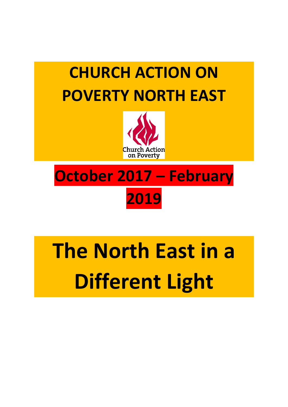



# **October 2017 – February 2019**

# **The North East in a Different Light**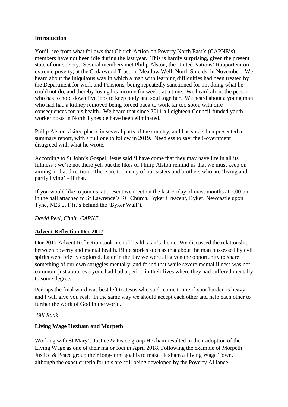#### **Introduction**

You'll see from what follows that Church Action on Poverty North East's (CAPNE's) members have not been idle during the last year. This is hardly surprising, given the present state of our society. Several members met Philip Alston, the United Nations' Rapporteur on extreme poverty, at the Cedarwood Trust, in Meadow Well, North Shields, in November. We heard about the iniquitous way in which a man with learning difficulties had been treated by the Department for work and Pensions, being repeatedly sanctioned for not doing what he could not do, and thereby losing his income for weeks at a time. We heard about the person who has to hold down five jobs to keep body and soul together. We heard about a young man who had had a kidney removed being forced back to work far too soon, with dire consequences for his health. We heard that since 2011 all eighteen Council-funded youth worker posts in North Tyneside have been eliminated.

Philip Alston visited places in several parts of the country, and has since then presented a summary report, with a full one to follow in 2019. Needless to say, the Government disagreed with what he wrote.

According to St John's Gospel, Jesus said 'I have come that they may have life in all its fullness'; we're not there yet, but the likes of Philip Alston remind us that we must keep on aiming in that direction. There are too many of our sisters and brothers who are 'living and partly living' – if that.

If you would like to join us, at present we meet on the last Friday of most months at 2.00 pm in the hall attached to St Lawrence's RC Church, Byker Crescent, Byker, Newcastle upon Tyne, NE6 2JT (it's behind the 'Byker Wall').

#### *David Peel, Chair, CAPNE*

# **Advent Reflection Dec 2017**

Our 2017 Advent Reflection took mental health as it's theme. We discussed the relationship between poverty and mental health. Bible stories such as that about the man possessed by evil spirits were briefly explored. Later in the day we were all given the opportunity to share something of our own struggles mentally, and found that while severe mental illness was not common, just about everyone had had a period in their lives where they had suffered mentally to some degree.

Perhaps the final word was best left to Jesus who said 'come to me if your burden is heavy, and I will give you rest.' In the same way we should accept each other and help each other to further the work of God in the world.

#### *Bill Rook*

# **Living Wage Hexham and Morpeth**

Working with St Mary's Justice & Peace group Hexham resulted in their adoption of the Living Wage as one of their major foci in April 2018. Following the example of Morpeth Justice & Peace group their long-term goal is to make Hexham a Living Wage Town, although the exact criteria for this are still being developed by the Poverty Alliance.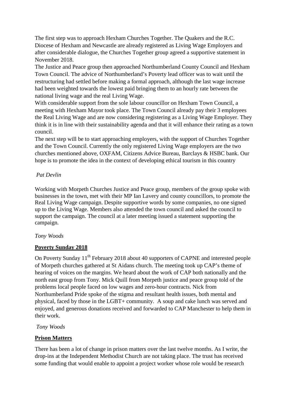The first step was to approach Hexham Churches Together. The Quakers and the R.C. Diocese of Hexham and Newcastle are already registered as Living Wage Employers and after considerable dialogue, the Churches Together group agreed a supportive statement in November 2018.

The Justice and Peace group then approached Northumberland County Council and Hexham Town Council. The advice of Northumberland's Poverty lead officer was to wait until the restructuring had settled before making a formal approach, although the last wage increase had been weighted towards the lowest paid bringing them to an hourly rate between the national living wage and the real Living Wage.

With considerable support from the sole labour councillor on Hexham Town Council, a meeting with Hexham Mayor took place. The Town Council already pay their 3 employees the Real Living Wage and are now considering registering as a Living Wage Employer. They think it is in line with their sustainability agenda and that it will enhance their rating as a town council.

The next step will be to start approaching employers, with the support of Churches Together and the Town Council. Currently the only registered Living Wage employers are the two churches mentioned above, OXFAM, Citizens Advice Bureau, Barclays & HSBC bank. Our hope is to promote the idea in the context of developing ethical tourism in this country

#### *Pat Devlin*

Working with Morpeth Churches Justice and Peace group, members of the group spoke with businesses in the town, met with their MP Ian Lavery and county councillors, to promote the Real Living Wage campaign. Despite supportive words by some companies, no one signed up to the Living Wage. Members also attended the town council and asked the council to support the campaign. The council at a later meeting issued a statement supporting the campaign.

#### *Tony Woods*

# **Poverty Sunday 2018**

On Poverty Sunday 11<sup>th</sup> February 2018 about 40 supporters of CAPNE and interested people of Morpeth churches gathered at St Aidans church. The meeting took up CAP's theme of hearing of voices on the margins. We heard about the work of CAP both nationally and the north east group from Tony. Mick Quill from Morpeth justice and peace group told of the problems local people faced on low wages and zero-hour contracts. Nick from Northumberland Pride spoke of the stigma and resultant health issues, both mental and physical, faced by those in the LGBT+ community. A soup and cake lunch was served and enjoyed, and generous donations received and forwarded to CAP Manchester to help them in their work.

*Tony Woods*

#### **Prison Matters**

There has been a lot of change in prison matters over the last twelve months. As I write, the drop-ins at the Independent Methodist Church are not taking place. The trust has received some funding that would enable to appoint a project worker whose role would be research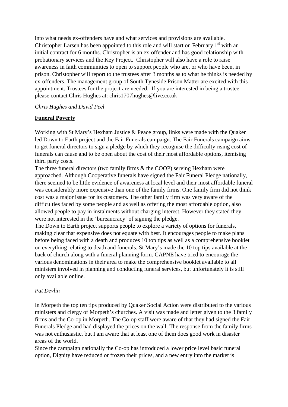into what needs ex-offenders have and what services and provisions are available. Christopher Larsen has been appointed to this role and will start on February  $1<sup>st</sup>$  with an initial contract for 6 months. Christopher is an ex-offender and has good relationship with probationary services and the Key Project. Christopher will also have a role to raise awareness in faith communities to open to support people who are, or who have been, in prison. Christopher will report to the trustees after 3 months as to what he thinks is needed by ex-offenders. The management group of South Tyneside Prison Matter are excited with this appointment. Trustees for the project are needed. If you are interested in being a trustee please contact Chris Hughes at: chris1707hughes@live.co.uk

#### *Chris Hughes and David Peel*

#### **Funeral Poverty**

Working with St Mary's Hexham Justice & Peace group, links were made with the Quaker led Down to Earth project and the Fair Funerals campaign. The Fair Funerals campaign aims to get funeral directors to sign a pledge by which they recognise the difficulty rising cost of funerals can cause and to be open about the cost of their most affordable options, itemising third party costs.

The three funeral directors (two family firms & the COOP) serving Hexham were approached. Although Cooperative funerals have signed the Fair Funeral Pledge nationally, there seemed to be little evidence of awareness at local level and their most affordable funeral was considerably more expensive than one of the family firms. One family firm did not think cost was a major issue for its customers. The other family firm was very aware of the difficulties faced by some people and as well as offering the most affordable option, also allowed people to pay in instalments without charging interest. However they stated they were not interested in the 'bureaucracy' of signing the pledge.

The Down to Earth project supports people to explore a variety of options for funerals, making clear that expensive does not equate with best. It encourages people to make plans before being faced with a death and produces 10 top tips as well as a comprehensive booklet on everything relating to death and funerals. St Mary's made the 10 top tips available at the back of church along with a funeral planning form. CAPNE have tried to encourage the various denominations in their area to make the comprehensive booklet available to all ministers involved in planning and conducting funeral services, but unfortunately it is still only available online.

#### *Pat Devlin*

In Morpeth the top ten tips produced by Quaker Social Action were distributed to the various ministers and clergy of Morpeth's churches. A visit was made and letter given to the 3 family firms and the Co-op in Morpeth. The Co-op staff were aware of that they had signed the Fair Funerals Pledge and had displayed the prices on the wall. The response from the family firms was not enthusiastic, but I am aware that at least one of them does good work in disaster areas of the world.

Since the campaign nationally the Co-op has introduced a lower price level basic funeral option, Dignity have reduced or frozen their prices, and a new entry into the market is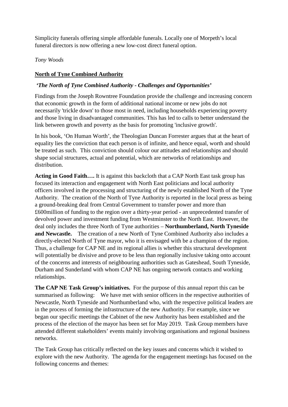Simplicity funerals offering simple affordable funerals. Locally one of Morpeth's local funeral directors is now offering a new low-cost direct funeral option.

#### *Tony Woods*

#### **North of Tyne Combined Authority**

#### *'The North of Tyne Combined Authority - Challenges and Opportunities'*

Findings from the Joseph Rowntree Foundation provide the challenge and increasing concern that economic growth in the form of additional national income or new jobs do not necessarily 'trickle down' to those most in need, including households experiencing poverty and those living in disadvantaged communities. This has led to calls to better understand the link between growth and poverty as the basis for promoting 'inclusive growth'.

In his book, 'On Human Worth', the Theologian Duncan Forrester argues that at the heart of equality lies the conviction that each person is of infinite, and hence equal, worth and should be treated as such. This conviction should colour our attitudes and relationships and should shape social structures, actual and potential, which are networks of relationships and distribution.

**Acting in Good Faith….** It is against this backcloth that a CAP North East task group has focused its interaction and engagement with North East politicians and local authority officers involved in the processing and structuring of the newly established North of the Tyne Authority. The creation of the North of Tyne Authority is reported in the local press as being a ground-breaking deal from Central Government to transfer power and more than £600million of funding to the region over a thirty-year period - an unprecedented transfer of devolved power and investment funding from Westminster to the North East. However, the deal only includes the three North of Tyne authorities – **Northumberland, North Tyneside and Newcastle.** The creation of a new North of Tyne Combined Authority also includes a directly-elected North of Tyne mayor, who it is envisaged with be a champion of the region. Thus, a challenge for CAP NE and its regional allies is whether this structural development will potentially be divisive and prove to be less than regionally inclusive taking onto account of the concerns and interests of neighbouring authorities such as Gateshead, South Tyneside, Durham and Sunderland with whom CAP NE has ongoing network contacts and working relationships.

**The CAP NE Task Group's initiatives.** For the purpose of this annual report this can be summarised as following: We have met with senior officers in the respective authorities of Newcastle, North Tyneside and Northumberland who, with the respective political leaders are in the process of forming the infrastructure of the new Authority. For example, since we began our specific meetings the Cabinet of the new Authority has been established and the process of the election of the mayor has been set for May 2019. Task Group members have attended different stakeholders' events mainly involving organisations and regional business networks.

The Task Group has critically reflected on the key issues and concerns which it wished to explore with the new Authority. The agenda for the engagement meetings has focused on the following concerns and themes: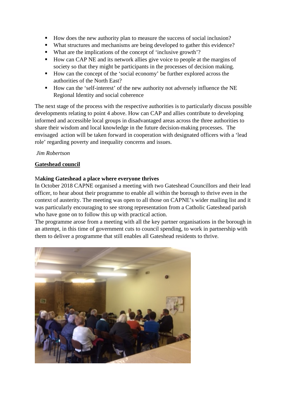- How does the new authority plan to measure the success of social inclusion?
- What structures and mechanisms are being developed to gather this evidence?
- What are the implications of the concept of 'inclusive growth'?
- How can CAP NE and its network allies give voice to people at the margins of society so that they might be participants in the processes of decision making.
- How can the concept of the 'social economy' be further explored across the authorities of the North East?
- How can the 'self-interest' of the new authority not adversely influence the NE Regional Identity and social coherence

The next stage of the process with the respective authorities is to particularly discuss possible developments relating to point 4 above. How can CAP and allies contribute to developing informed and accessible local groups in disadvantaged areas across the three authorities to share their wisdom and local knowledge in the future decision-making processes. The envisaged action will be taken forward in cooperation with designated officers with a 'lead role' regarding poverty and inequality concerns and issues.

#### *Jim Robertson*

#### **Gateshead council**

#### M**aking Gateshead a place where everyone thrives**

In October 2018 CAPNE organised a meeting with two Gateshead Councillors and their lead officer, to hear about their programme to enable all within the borough to thrive even in the context of austerity. The meeting was open to all those on CAPNE's wider mailing list and it was particularly encouraging to see strong representation from a Catholic Gateshead parish who have gone on to follow this up with practical action.

The programme arose from a meeting with all the key partner organisations in the borough in an attempt, in this time of government cuts to council spending, to work in partnership with them to deliver a programme that still enables all Gateshead residents to thrive.

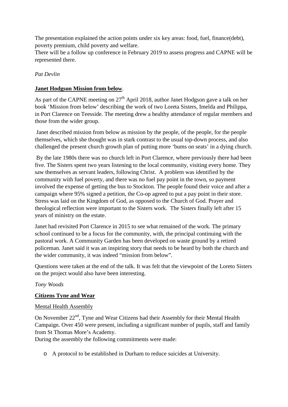The presentation explained the action points under six key areas: food, fuel, finance(debt), poverty premium, child poverty and welfare.

There will be a follow up conference in February 2019 to assess progress and CAPNE will be represented there.

#### *Pat Devlin*

#### **Janet Hodgson Mission from below**.

As part of the CAPNE meeting on  $27<sup>th</sup>$  April 2018, author Janet Hodgson gave a talk on her book 'Mission from below' describing the work of two Loreta Sisters, Imelda and Philippa, in Port Clarence on Teesside. The meeting drew a healthy attendance of regular members and those from the wider group.

Janet described mission from below as mission by the people, of the people, for the people themselves, which she thought was in stark contrast to the usual top-down process, and also challenged the present church growth plan of putting more 'bums on seats' in a dying church.

By the late 1980s there was no church left in Port Clarence, where previously there had been five. The Sisters spent two years listening to the local community, visiting every home. They saw themselves as servant leaders, following Christ. A problem was identified by the community with fuel poverty, and there was no fuel pay point in the town, so payment involved the expense of getting the bus to Stockton. The people found their voice and after a campaign where 95% signed a petition, the Co-op agreed to put a pay point in their store. Stress was laid on the Kingdom of God, as opposed to the Church of God. Prayer and theological reflection were important to the Sisters work. The Sisters finally left after 15 years of ministry on the estate.

Janet had revisited Port Clarence in 2015 to see what remained of the work. The primary school continued to be a focus for the community, with, the principal continuing with the pastoral work. A Community Garden has been developed on waste ground by a retired policeman. Janet said it was an inspiring story that needs to be heard by both the church and the wider community, it was indeed "mission from below".

Questions were taken at the end of the talk. It was felt that the viewpoint of the Loreto Sisters on the project would also have been interesting.

#### *Tony Woods*

#### **Citizens Tyne and Wear**

#### Mental Health Assembly

On November 22<sup>nd</sup>, Tyne and Wear Citizens had their Assembly for their Mental Health Campaign. Over 450 were present, including a significant number of pupils, staff and family from St Thomas More's Academy.

During the assembly the following commitments were made:

o A protocol to be established in Durham to reduce suicides at University.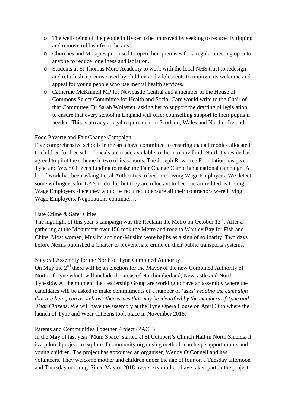- o The well-being of the people in Byker to be improved by seeking to reduce fly tipping and remove rubbish from the area.
- o Churches and Mosques promised to open their premises for a regular meeting open to anyone to reduce loneliness and isolation.
- o Students at St Thomas More Academy to work with the local NHS trust to redesign and refurbish a premise used by children and adolescents to improve its welcome and appeal for young people who use mental health services.
- o Catherine McKinnell MP for Newcastle Central and a member of the House of Commons Select Committee for Health and Social Care would write to the Chair of that Committee, Dr Sarah Wolasten, asking her to support the drafting of legislation to ensure that every school in England will offer counselling support to their pupils if needed. This is already a legal requirement in Scotland, Wales and Norther Ireland.

#### Food Poverty and Fair Change Campaign

Five comprehensive schools in the area have committed to ensuring that all monies allocated to children for free school meals are made available to them to buy food. North Tyneside has agreed to pilot the scheme in two of its schools. The Joseph Rowntree Foundation has given Tyne and Wear Citizens funding to make the Fair Change Campaign a national campaign. A lot of work has been asking Local Authorities to become Living Wage Employers. We detect some willingness for LA's to do this but they are reluctant to become accredited as Living Wage Employers since they would be required to ensure all their contractors were Living Wage Employers. Negotiations continue…..

#### Hate Crime & Safer Cities

The highlight of this year's campaign was the Reclaim the Metro on October  $13<sup>th</sup>$ . After a gathering at the Monument over 150 took the Metro and rode to Whitley Bay for Fish and Chips. Most women, Muslim and non-Muslim wore hajibs as a sign of solidarity. Two days before Nexus published a Charter to prevent hate crime on their public transports systems.

#### Mayoral Assembly for the North of Tyne Combined Authority

On May the  $2<sup>nd</sup>$  there will be an election for the Mayor of the new Combined Authority of North of Tyne which will include the areas of Northumberland, Newcastle and North Tyneside. At the moment the Leadership Group are working to have an assembly where the candidates will be asked to make commitments of a number of 'asks' *reading the campaign that are being run as well as other issues that may be identified by the members of Tyne and Wear Citizens*. We will have the assembly at the Tyne Opera House on April 30th where the launch of Tyne and Wear Citizens took place in November 2018.

#### Parents and Communities Together Project (PACT)

In the May of last year 'Mum Space' started at St Cuthbert's Church Hall in North Shields. It is a piloted project to explore if community organising methods can help support mums and young children. The project has appointed an organiser, Wendy O'Connell and has volunteers. They welcome mother and children under the age of four on a Tuesday afternoon and Thursday morning. Since May of 2018 over sixty mothers have taken part in the project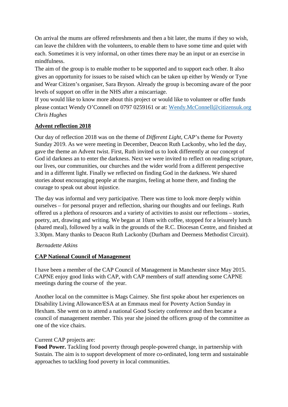On arrival the mums are offered refreshments and then a bit later, the mums if they so wish, can leave the children with the volunteers, to enable them to have some time and quiet with each. Sometimes it is very informal, on other times there may be an input or an exercise in mindfulness.

The aim of the group is to enable mother to be supported and to support each other. It also gives an opportunity for issues to be raised which can be taken up either by Wendy or Tyne and Wear Citizen's organiser, Sara Bryson. Already the group is becoming aware of the poor levels of support on offer in the NHS after a miscarriage.

If you would like to know more about this project or would like to volunteer or offer funds please contact Wendy O'Connell on 0797 0259161 or at: [Wendy.McConnell@citizensuk.org](mailto:Wendy.McConnell@citizensuk.org) *Chris Hughes*

#### **Advent reflection 2018**

Our day of reflection 2018 was on the theme of *Different Light*, CAP's theme for Poverty Sunday 2019. As we were meeting in December, Deacon Ruth Lackonby, who led the day, gave the theme an Advent twist. First, Ruth invited us to look differently at our concept of God id darkness an to enter the darkness. Next we were invited to reflect on reading scripture, our lives, our communities, our churches and the wider world from a different perspective and in a different light. Finally we reflected on finding God in the darkness. We shared stories about encouraging people at the margins, feeling at home there, and finding the courage to speak out about injustice.

The day was informal and very participative. There was time to look more deeply within ourselves – for personal prayer and reflection, sharing our thoughts and our feelings. Ruth offered us a plethora of resources and a variety of activities to assist our reflections – stories, poetry, art, drawing and writing. We began at 10am with coffee, stopped for a leisurely lunch (shared meal), followed by a walk in the grounds of the R.C. Diocesan Centre, and finished at 3.30pm. Many thanks to Deacon Ruth Lackonby (Durham and Deerness Methodist Circuit).

#### *Bernadette Atkins*

# **CAP National Council of Management**

I have been a member of the CAP Council of Management in Manchester since May 2015. CAPNE enjoy good links with CAP, with CAP members of staff attending some CAPNE meetings during the course of the year.

Another local on the committee is Mags Cairney. She first spoke about her experiences on Disability Living Allowance/ESA at an Emmaus meal for Poverty Action Sunday in Hexham. She went on to attend a national Good Society conference and then became a council of management member. This year she joined the officers group of the committee as one of the vice chairs.

#### Current CAP projects are:

**Food Power.** Tackling food poverty through people-powered change, in partnership with Sustain. The aim is to support development of more co-ordinated, long term and sustainable approaches to tackling food poverty in local communities.